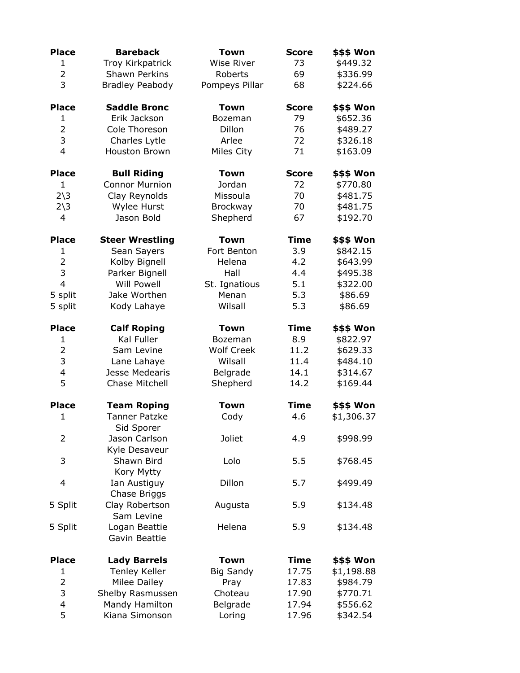| <b>Place</b>             | <b>Bareback</b>                    | Town              | <b>Score</b> | \$\$\$ Won |  |
|--------------------------|------------------------------------|-------------------|--------------|------------|--|
| $\mathbf{1}$             | Troy Kirkpatrick                   | <b>Wise River</b> | 73           | \$449.32   |  |
| $\overline{2}$           | <b>Shawn Perkins</b>               | Roberts           | 69           | \$336.99   |  |
| 3                        | <b>Bradley Peabody</b>             | Pompeys Pillar    | 68           | \$224.66   |  |
| <b>Place</b>             | <b>Saddle Bronc</b>                | <b>Town</b>       | <b>Score</b> | \$\$\$ Won |  |
| 1                        | Erik Jackson                       | Bozeman           | 79           | \$652.36   |  |
| $\overline{2}$           | Cole Thoreson                      | Dillon            | 76           | \$489.27   |  |
| 3                        | Charles Lytle                      | Arlee             | 72           | \$326.18   |  |
| $\overline{4}$           | <b>Houston Brown</b>               | Miles City        | 71           | \$163.09   |  |
| <b>Place</b>             | <b>Bull Riding</b>                 | <b>Town</b>       | <b>Score</b> | \$\$\$ Won |  |
| $\mathbf{1}$             | <b>Connor Murnion</b>              | Jordan            | 72           | \$770.80   |  |
| $2\overline{\smash)3}$   | Clay Reynolds                      | Missoula          | 70           | \$481.75   |  |
| $2\sqrt{3}$              | Wylee Hurst                        | Brockway          | 70           | \$481.75   |  |
| $\overline{4}$           | Jason Bold                         | Shepherd          | 67           | \$192.70   |  |
| <b>Place</b>             | <b>Steer Wrestling</b>             | <b>Town</b>       | <b>Time</b>  | \$\$\$ Won |  |
| 1                        | Sean Sayers                        | Fort Benton       | 3.9          | \$842.15   |  |
| $\overline{2}$           | Kolby Bignell                      | Helena            | 4.2          | \$643.99   |  |
| 3                        | Parker Bignell                     | Hall              | 4.4          | \$495.38   |  |
| $\overline{4}$           | <b>Will Powell</b>                 | St. Ignatious     | 5.1          | \$322.00   |  |
| 5 split                  | Jake Worthen                       | Menan             | 5.3          | \$86.69    |  |
| 5 split                  | Kody Lahaye                        | Wilsall           | 5.3          | \$86.69    |  |
| <b>Place</b>             | <b>Calf Roping</b>                 | <b>Town</b>       | <b>Time</b>  | \$\$\$ Won |  |
| $\mathbf{1}$             | Kal Fuller                         | Bozeman           | 8.9          | \$822.97   |  |
| $\overline{2}$           | Sam Levine                         | <b>Wolf Creek</b> | 11.2         | \$629.33   |  |
| 3                        | Lane Lahaye                        | Wilsall           | 11.4         | \$484.10   |  |
| $\overline{\mathcal{A}}$ | Jesse Medearis                     | Belgrade          | 14.1         | \$314.67   |  |
| 5                        | Chase Mitchell                     | Shepherd          | 14.2         | \$169.44   |  |
| <b>Place</b>             | <b>Team Roping</b>                 | <b>Town</b>       | <b>Time</b>  | \$\$\$ Won |  |
| $\mathbf{1}$             | <b>Tanner Patzke</b><br>Sid Sporer | Cody              | 4.6          | \$1,306.37 |  |
| $\overline{2}$           | Jason Carlson<br>Kyle Desaveur     | <b>Joliet</b>     | 4.9          | \$998.99   |  |
| 3                        | Shawn Bird<br>Kory Mytty           | Lolo              | 5.5          | \$768.45   |  |
| 4                        | Ian Austiguy<br>Chase Briggs       | Dillon            | 5.7          | \$499.49   |  |
| 5 Split                  | Clay Robertson<br>Sam Levine       | Augusta           | 5.9          | \$134.48   |  |
| 5 Split                  | Logan Beattie<br>Gavin Beattie     | Helena            | 5.9          | \$134.48   |  |
| <b>Place</b>             | <b>Lady Barrels</b>                | <b>Town</b>       | <b>Time</b>  | \$\$\$ Won |  |
| $\mathbf{1}$             | <b>Tenley Keller</b>               | <b>Big Sandy</b>  | 17.75        | \$1,198.88 |  |
| $\overline{2}$           | Milee Dailey                       | Pray              | 17.83        | \$984.79   |  |
| 3                        | Shelby Rasmussen                   | Choteau           | 17.90        | \$770.71   |  |
| 4                        | Mandy Hamilton                     | Belgrade          | 17.94        | \$556.62   |  |
| 5                        | Kiana Simonson                     | Loring            | 17.96        | \$342.54   |  |